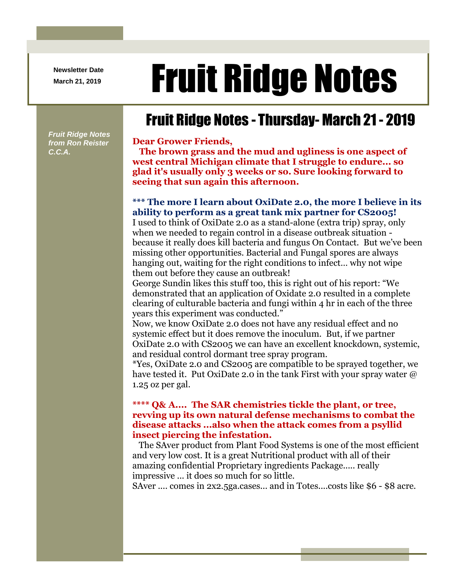**Newsletter Date**

# Newsletter Date **Fruit Ridge Notes**

## Fruit Ridge Notes - Thursday- March 21 - 2019

*Fruit Ridge Notes from Ron Reister C.C.A.*

#### **Dear Grower Friends,**

**The brown grass and the mud and ugliness is one aspect of west central Michigan climate that I struggle to endure... so glad it's usually only 3 weeks or so. Sure looking forward to seeing that sun again this afternoon.**

### **\*\*\* The more I learn about OxiDate 2.0, the more I believe in its ability to perform as a great tank mix partner for CS2005!**

I used to think of OxiDate 2.0 as a stand-alone (extra trip) spray, only when we needed to regain control in a disease outbreak situation because it really does kill bacteria and fungus On Contact. But we've been missing other opportunities. Bacterial and Fungal spores are always hanging out, waiting for the right conditions to infect… why not wipe them out before they cause an outbreak!

George Sundin likes this stuff too, this is right out of his report: "We demonstrated that an application of Oxidate 2.0 resulted in a complete clearing of culturable bacteria and fungi within 4 hr in each of the three years this experiment was conducted."

Now, we know OxiDate 2.0 does not have any residual effect and no systemic effect but it does remove the inoculum. But, if we partner OxiDate 2.0 with CS2005 we can have an excellent knockdown, systemic, and residual control dormant tree spray program.

\*Yes, OxiDate 2.0 and CS2005 are compatible to be sprayed together, we have tested it. Put OxiDate 2.0 in the tank First with your spray water  $\omega$ 1.25 oz per gal.

#### **\*\*\*\* Q& A.... The SAR chemistries tickle the plant, or tree, revving up its own natural defense mechanisms to combat the disease attacks ...also when the attack comes from a psyllid insect piercing the infestation.**

The SAver product from Plant Food Systems is one of the most efficient and very low cost. It is a great Nutritional product with all of their amazing confidential Proprietary ingredients Package..... really impressive ... it does so much for so little.

SAver .... comes in 2x2.5ga.cases... and in Totes....costs like \$6 - \$8 acre.